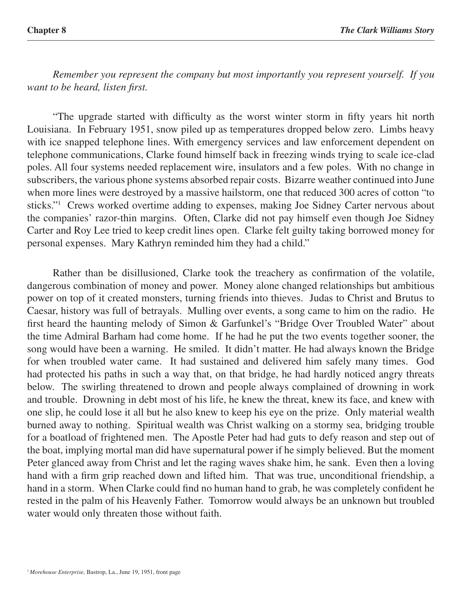*Remember you represent the company but most importantly you represent yourself. If you want to be heard, listen first.*

"The upgrade started with difficulty as the worst winter storm in fifty years hit north Louisiana. In February 1951, snow piled up as temperatures dropped below zero. Limbs heavy with ice snapped telephone lines. With emergency services and law enforcement dependent on telephone communications, Clarke found himself back in freezing winds trying to scale ice-clad poles. All four systems needed replacement wire, insulators and a few poles. With no change in subscribers, the various phone systems absorbed repair costs. Bizarre weather continued into June when more lines were destroyed by a massive hailstorm, one that reduced 300 acres of cotton "to sticks."1 Crews worked overtime adding to expenses, making Joe Sidney Carter nervous about the companies' razor-thin margins. Often, Clarke did not pay himself even though Joe Sidney Carter and Roy Lee tried to keep credit lines open. Clarke felt guilty taking borrowed money for personal expenses. Mary Kathryn reminded him they had a child."

Rather than be disillusioned, Clarke took the treachery as confirmation of the volatile, dangerous combination of money and power. Money alone changed relationships but ambitious power on top of it created monsters, turning friends into thieves. Judas to Christ and Brutus to Caesar, history was full of betrayals. Mulling over events, a song came to him on the radio. He first heard the haunting melody of Simon & Garfunkel's "Bridge Over Troubled Water" about the time Admiral Barham had come home. If he had he put the two events together sooner, the song would have been a warning. He smiled. It didn't matter. He had always known the Bridge for when troubled water came. It had sustained and delivered him safely many times. God had protected his paths in such a way that, on that bridge, he had hardly noticed angry threats below. The swirling threatened to drown and people always complained of drowning in work and trouble. Drowning in debt most of his life, he knew the threat, knew its face, and knew with one slip, he could lose it all but he also knew to keep his eye on the prize. Only material wealth burned away to nothing. Spiritual wealth was Christ walking on a stormy sea, bridging trouble for a boatload of frightened men. The Apostle Peter had had guts to defy reason and step out of the boat, implying mortal man did have supernatural power if he simply believed. But the moment Peter glanced away from Christ and let the raging waves shake him, he sank. Even then a loving hand with a firm grip reached down and lifted him. That was true, unconditional friendship, a hand in a storm. When Clarke could find no human hand to grab, he was completely confident he rested in the palm of his Heavenly Father. Tomorrow would always be an unknown but troubled water would only threaten those without faith.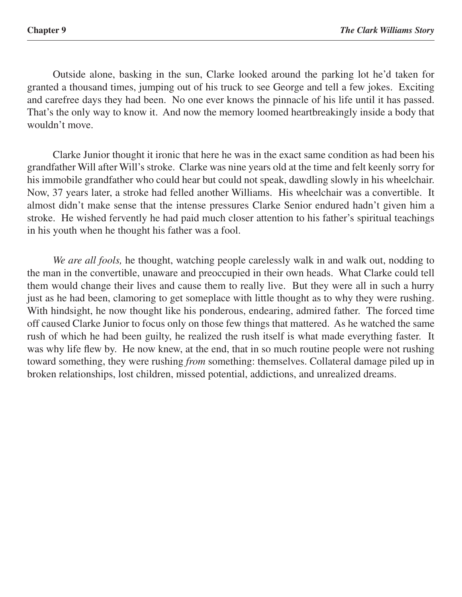Outside alone, basking in the sun, Clarke looked around the parking lot he'd taken for granted a thousand times, jumping out of his truck to see George and tell a few jokes. Exciting and carefree days they had been. No one ever knows the pinnacle of his life until it has passed. That's the only way to know it. And now the memory loomed heartbreakingly inside a body that wouldn't move.

Clarke Junior thought it ironic that here he was in the exact same condition as had been his grandfather Will after Will's stroke. Clarke was nine years old at the time and felt keenly sorry for his immobile grandfather who could hear but could not speak, dawdling slowly in his wheelchair. Now, 37 years later, a stroke had felled another Williams. His wheelchair was a convertible. It almost didn't make sense that the intense pressures Clarke Senior endured hadn't given him a stroke. He wished fervently he had paid much closer attention to his father's spiritual teachings in his youth when he thought his father was a fool.

*We are all fools,* he thought, watching people carelessly walk in and walk out, nodding to the man in the convertible, unaware and preoccupied in their own heads. What Clarke could tell them would change their lives and cause them to really live. But they were all in such a hurry just as he had been, clamoring to get someplace with little thought as to why they were rushing. With hindsight, he now thought like his ponderous, endearing, admired father. The forced time off caused Clarke Junior to focus only on those few things that mattered. As he watched the same rush of which he had been guilty, he realized the rush itself is what made everything faster. It was why life flew by. He now knew, at the end, that in so much routine people were not rushing toward something, they were rushing *from* something: themselves. Collateral damage piled up in broken relationships, lost children, missed potential, addictions, and unrealized dreams.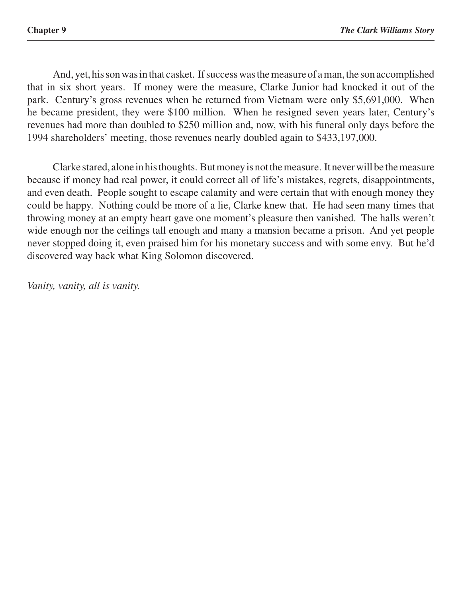And, yet, his son was in that casket. If success was the measure of a man, the son accomplished that in six short years. If money were the measure, Clarke Junior had knocked it out of the park. Century's gross revenues when he returned from Vietnam were only \$5,691,000. When he became president, they were \$100 million. When he resigned seven years later, Century's revenues had more than doubled to \$250 million and, now, with his funeral only days before the 1994 shareholders' meeting, those revenues nearly doubled again to \$433,197,000.

Clarke stared, alone in his thoughts. But money is not the measure. It never will be the measure because if money had real power, it could correct all of life's mistakes, regrets, disappointments, and even death. People sought to escape calamity and were certain that with enough money they could be happy. Nothing could be more of a lie, Clarke knew that. He had seen many times that throwing money at an empty heart gave one moment's pleasure then vanished. The halls weren't wide enough nor the ceilings tall enough and many a mansion became a prison. And yet people never stopped doing it, even praised him for his monetary success and with some envy. But he'd discovered way back what King Solomon discovered.

*Vanity, vanity, all is vanity.*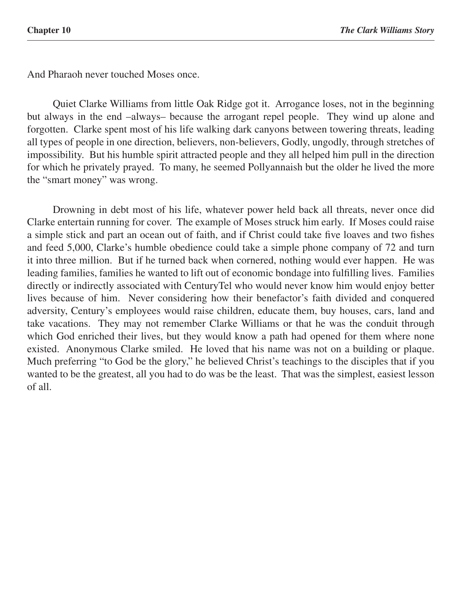And Pharaoh never touched Moses once.

Quiet Clarke Williams from little Oak Ridge got it. Arrogance loses, not in the beginning but always in the end –always– because the arrogant repel people. They wind up alone and forgotten. Clarke spent most of his life walking dark canyons between towering threats, leading all types of people in one direction, believers, non-believers, Godly, ungodly, through stretches of impossibility. But his humble spirit attracted people and they all helped him pull in the direction for which he privately prayed. To many, he seemed Pollyannaish but the older he lived the more the "smart money" was wrong.

Drowning in debt most of his life, whatever power held back all threats, never once did Clarke entertain running for cover. The example of Moses struck him early. If Moses could raise a simple stick and part an ocean out of faith, and if Christ could take five loaves and two fishes and feed 5,000, Clarke's humble obedience could take a simple phone company of 72 and turn it into three million. But if he turned back when cornered, nothing would ever happen. He was leading families, families he wanted to lift out of economic bondage into fulfilling lives. Families directly or indirectly associated with CenturyTel who would never know him would enjoy better lives because of him. Never considering how their benefactor's faith divided and conquered adversity, Century's employees would raise children, educate them, buy houses, cars, land and take vacations. They may not remember Clarke Williams or that he was the conduit through which God enriched their lives, but they would know a path had opened for them where none existed. Anonymous Clarke smiled. He loved that his name was not on a building or plaque. Much preferring "to God be the glory," he believed Christ's teachings to the disciples that if you wanted to be the greatest, all you had to do was be the least. That was the simplest, easiest lesson of all.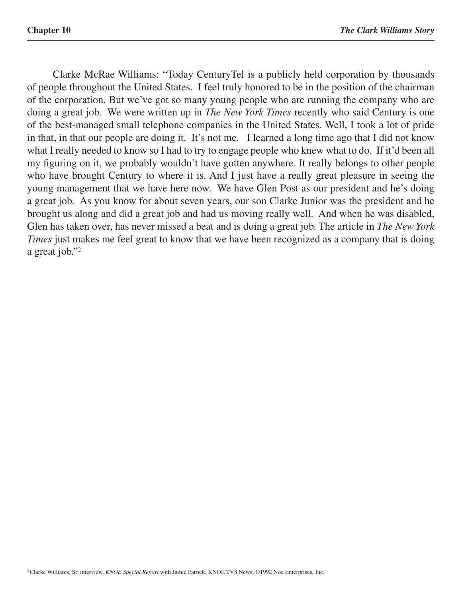Clarke McRae Williams: "Today CenturyTel is a publicly held corporation by thousands of people throughout the United States. I feel truly honored to be in the position of the chairman of the corporation. But we've got so many young people who are running the company who are doing a great job. We were written up in *The New York Times* recently who said Century is one of the best-managed small telephone companies in the United States. Well, I took a lot of pride in that, in that our people are doing it. It's not me. I learned a long time ago that I did not know what I really needed to know so I had to try to engage people who knew what to do. If it'd been all my figuring on it, we probably wouldn't have gotten anywhere. It really belongs to other people who have brought Century to where it is. And I just have a really great pleasure in seeing the young management that we have here now. We have Glen Post as our president and he's doing a great job. As you know for about seven years, our son Clarke Junior was the president and he brought us along and did a great job and had us moving really well. And when he was disabled, Glen has taken over, has never missed a beat and is doing a great job. The article in *The New York Times* just makes me feel great to know that we have been recognized as a company that is doing a great job."2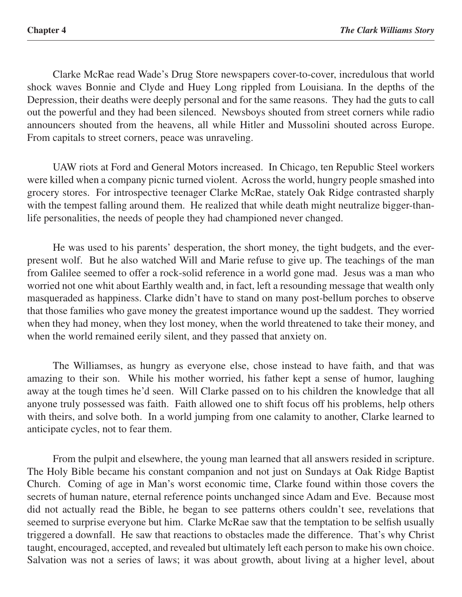Clarke McRae read Wade's Drug Store newspapers cover-to-cover, incredulous that world shock waves Bonnie and Clyde and Huey Long rippled from Louisiana. In the depths of the Depression, their deaths were deeply personal and for the same reasons. They had the guts to call out the powerful and they had been silenced. Newsboys shouted from street corners while radio announcers shouted from the heavens, all while Hitler and Mussolini shouted across Europe. From capitals to street corners, peace was unraveling.

UAW riots at Ford and General Motors increased. In Chicago, ten Republic Steel workers were killed when a company picnic turned violent. Across the world, hungry people smashed into grocery stores. For introspective teenager Clarke McRae, stately Oak Ridge contrasted sharply with the tempest falling around them. He realized that while death might neutralize bigger-thanlife personalities, the needs of people they had championed never changed.

He was used to his parents' desperation, the short money, the tight budgets, and the everpresent wolf. But he also watched Will and Marie refuse to give up. The teachings of the man from Galilee seemed to offer a rock-solid reference in a world gone mad. Jesus was a man who worried not one whit about Earthly wealth and, in fact, left a resounding message that wealth only masqueraded as happiness. Clarke didn't have to stand on many post-bellum porches to observe that those families who gave money the greatest importance wound up the saddest. They worried when they had money, when they lost money, when the world threatened to take their money, and when the world remained eerily silent, and they passed that anxiety on.

The Williamses, as hungry as everyone else, chose instead to have faith, and that was amazing to their son. While his mother worried, his father kept a sense of humor, laughing away at the tough times he'd seen. Will Clarke passed on to his children the knowledge that all anyone truly possessed was faith. Faith allowed one to shift focus off his problems, help others with theirs, and solve both. In a world jumping from one calamity to another, Clarke learned to anticipate cycles, not to fear them.

From the pulpit and elsewhere, the young man learned that all answers resided in scripture. The Holy Bible became his constant companion and not just on Sundays at Oak Ridge Baptist Church. Coming of age in Man's worst economic time, Clarke found within those covers the secrets of human nature, eternal reference points unchanged since Adam and Eve. Because most did not actually read the Bible, he began to see patterns others couldn't see, revelations that seemed to surprise everyone but him. Clarke McRae saw that the temptation to be selfish usually triggered a downfall. He saw that reactions to obstacles made the difference. That's why Christ taught, encouraged, accepted, and revealed but ultimately left each person to make his own choice. Salvation was not a series of laws; it was about growth, about living at a higher level, about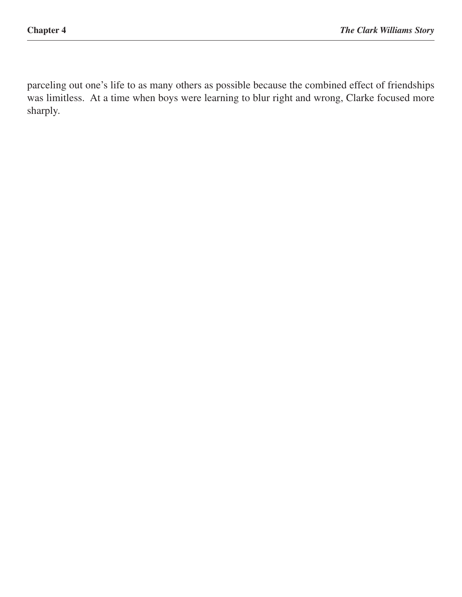parceling out one's life to as many others as possible because the combined effect of friendships was limitless. At a time when boys were learning to blur right and wrong, Clarke focused more sharply.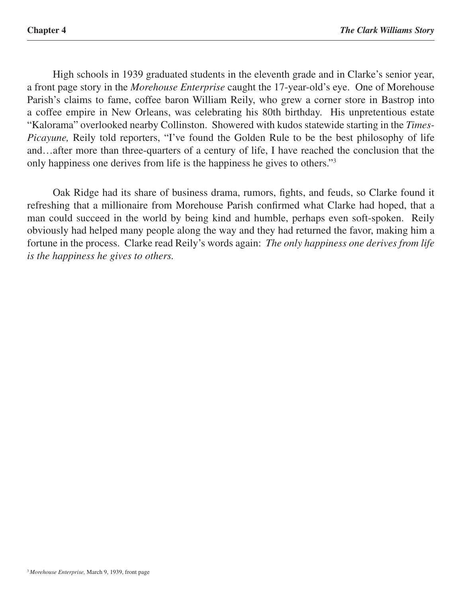High schools in 1939 graduated students in the eleventh grade and in Clarke's senior year, a front page story in the *Morehouse Enterprise* caught the 17-year-old's eye. One of Morehouse Parish's claims to fame, coffee baron William Reily, who grew a corner store in Bastrop into a coffee empire in New Orleans, was celebrating his 80th birthday. His unpretentious estate "Kalorama" overlooked nearby Collinston. Showered with kudos statewide starting in the *Times-Picayune,* Reily told reporters, "I've found the Golden Rule to be the best philosophy of life and…after more than three-quarters of a century of life, I have reached the conclusion that the only happiness one derives from life is the happiness he gives to others."3

Oak Ridge had its share of business drama, rumors, fights, and feuds, so Clarke found it refreshing that a millionaire from Morehouse Parish confirmed what Clarke had hoped, that a man could succeed in the world by being kind and humble, perhaps even soft-spoken. Reily obviously had helped many people along the way and they had returned the favor, making him a fortune in the process. Clarke read Reily's words again: *The only happiness one derives from life is the happiness he gives to others.*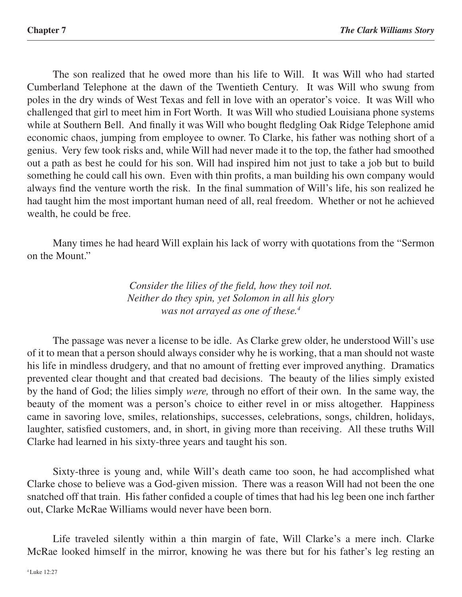The son realized that he owed more than his life to Will. It was Will who had started Cumberland Telephone at the dawn of the Twentieth Century. It was Will who swung from poles in the dry winds of West Texas and fell in love with an operator's voice. It was Will who challenged that girl to meet him in Fort Worth. It was Will who studied Louisiana phone systems while at Southern Bell. And finally it was Will who bought fledgling Oak Ridge Telephone amid economic chaos, jumping from employee to owner. To Clarke, his father was nothing short of a genius. Very few took risks and, while Will had never made it to the top, the father had smoothed out a path as best he could for his son. Will had inspired him not just to take a job but to build something he could call his own. Even with thin profits, a man building his own company would always find the venture worth the risk. In the final summation of Will's life, his son realized he had taught him the most important human need of all, real freedom. Whether or not he achieved wealth, he could be free.

Many times he had heard Will explain his lack of worry with quotations from the "Sermon on the Mount."

> *Consider the lilies of the field, how they toil not. Neither do they spin, yet Solomon in all his glory was not arrayed as one of these.4*

The passage was never a license to be idle. As Clarke grew older, he understood Will's use of it to mean that a person should always consider why he is working, that a man should not waste his life in mindless drudgery, and that no amount of fretting ever improved anything. Dramatics prevented clear thought and that created bad decisions. The beauty of the lilies simply existed by the hand of God; the lilies simply *were,* through no effort of their own. In the same way, the beauty of the moment was a person's choice to either revel in or miss altogether. Happiness came in savoring love, smiles, relationships, successes, celebrations, songs, children, holidays, laughter, satisfied customers, and, in short, in giving more than receiving. All these truths Will Clarke had learned in his sixty-three years and taught his son.

Sixty-three is young and, while Will's death came too soon, he had accomplished what Clarke chose to believe was a God-given mission. There was a reason Will had not been the one snatched off that train. His father confided a couple of times that had his leg been one inch farther out, Clarke McRae Williams would never have been born.

Life traveled silently within a thin margin of fate, Will Clarke's a mere inch. Clarke McRae looked himself in the mirror, knowing he was there but for his father's leg resting an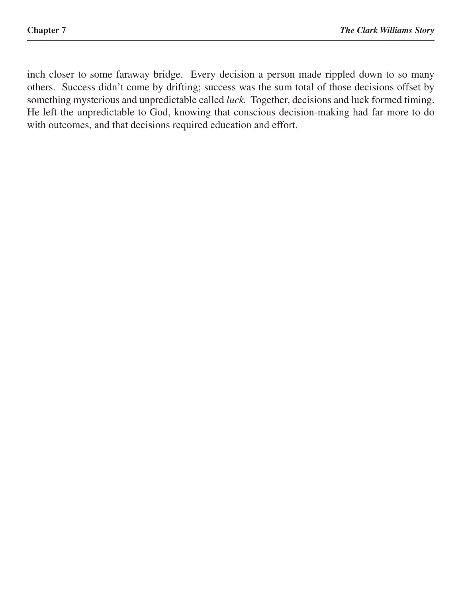inch closer to some faraway bridge. Every decision a person made rippled down to so many others. Success didn't come by drifting; success was the sum total of those decisions offset by something mysterious and unpredictable called *luck.* Together, decisions and luck formed timing. He left the unpredictable to God, knowing that conscious decision-making had far more to do with outcomes, and that decisions required education and effort.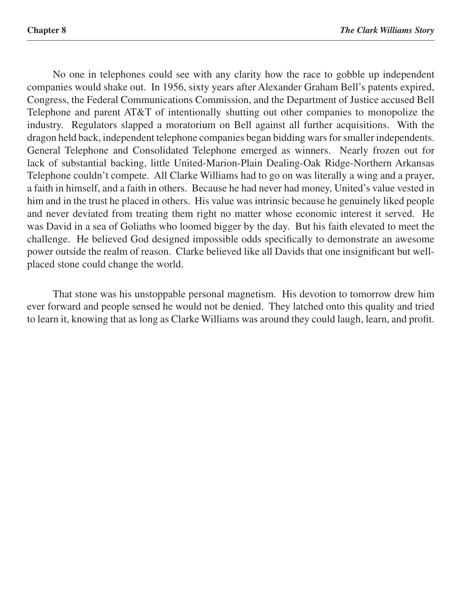No one in telephones could see with any clarity how the race to gobble up independent companies would shake out. In 1956, sixty years after Alexander Graham Bell's patents expired, Congress, the Federal Communications Commission, and the Department of Justice accused Bell Telephone and parent AT&T of intentionally shutting out other companies to monopolize the industry. Regulators slapped a moratorium on Bell against all further acquisitions. With the dragon held back, independent telephone companies began bidding wars for smaller independents. General Telephone and Consolidated Telephone emerged as winners. Nearly frozen out for lack of substantial backing, little United-Marion-Plain Dealing-Oak Ridge-Northern Arkansas Telephone couldn't compete. All Clarke Williams had to go on was literally a wing and a prayer, a faith in himself, and a faith in others. Because he had never had money, United's value vested in him and in the trust he placed in others. His value was intrinsic because he genuinely liked people and never deviated from treating them right no matter whose economic interest it served. He was David in a sea of Goliaths who loomed bigger by the day. But his faith elevated to meet the challenge. He believed God designed impossible odds specifically to demonstrate an awesome power outside the realm of reason. Clarke believed like all Davids that one insignificant but wellplaced stone could change the world.

That stone was his unstoppable personal magnetism. His devotion to tomorrow drew him ever forward and people sensed he would not be denied. They latched onto this quality and tried to learn it, knowing that as long as Clarke Williams was around they could laugh, learn, and profit.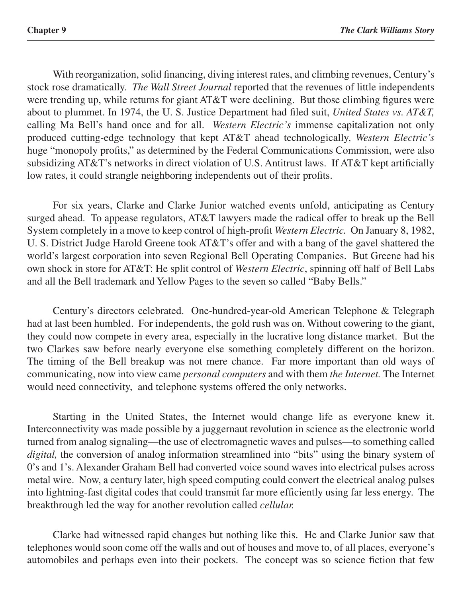With reorganization, solid financing, diving interest rates, and climbing revenues, Century's stock rose dramatically. *The Wall Street Journal* reported that the revenues of little independents were trending up, while returns for giant AT&T were declining. But those climbing figures were about to plummet. In 1974, the U. S. Justice Department had filed suit, *United States vs. AT&T,*  calling Ma Bell's hand once and for all. *Western Electric's* immense capitalization not only produced cutting-edge technology that kept AT&T ahead technologically, *Western Electric's*  huge "monopoly profits," as determined by the Federal Communications Commission, were also subsidizing AT&T's networks in direct violation of U.S. Antitrust laws. If AT&T kept artificially low rates, it could strangle neighboring independents out of their profits.

For six years, Clarke and Clarke Junior watched events unfold, anticipating as Century surged ahead. To appease regulators, AT&T lawyers made the radical offer to break up the Bell System completely in a move to keep control of high-profit *Western Electric.* On January 8, 1982, U. S. District Judge Harold Greene took AT&T's offer and with a bang of the gavel shattered the world's largest corporation into seven Regional Bell Operating Companies. But Greene had his own shock in store for AT&T: He split control of *Western Electric*, spinning off half of Bell Labs and all the Bell trademark and Yellow Pages to the seven so called "Baby Bells."

Century's directors celebrated. One-hundred-year-old American Telephone & Telegraph had at last been humbled. For independents, the gold rush was on. Without cowering to the giant, they could now compete in every area, especially in the lucrative long distance market. But the two Clarkes saw before nearly everyone else something completely different on the horizon. The timing of the Bell breakup was not mere chance. Far more important than old ways of communicating, now into view came *personal computers* and with them *the Internet.* The Internet would need connectivity, and telephone systems offered the only networks.

Starting in the United States, the Internet would change life as everyone knew it. Interconnectivity was made possible by a juggernaut revolution in science as the electronic world turned from analog signaling—the use of electromagnetic waves and pulses—to something called *digital,* the conversion of analog information streamlined into "bits" using the binary system of 0's and 1's. Alexander Graham Bell had converted voice sound waves into electrical pulses across metal wire. Now, a century later, high speed computing could convert the electrical analog pulses into lightning-fast digital codes that could transmit far more efficiently using far less energy. The breakthrough led the way for another revolution called *cellular.* 

Clarke had witnessed rapid changes but nothing like this. He and Clarke Junior saw that telephones would soon come off the walls and out of houses and move to, of all places, everyone's automobiles and perhaps even into their pockets. The concept was so science fiction that few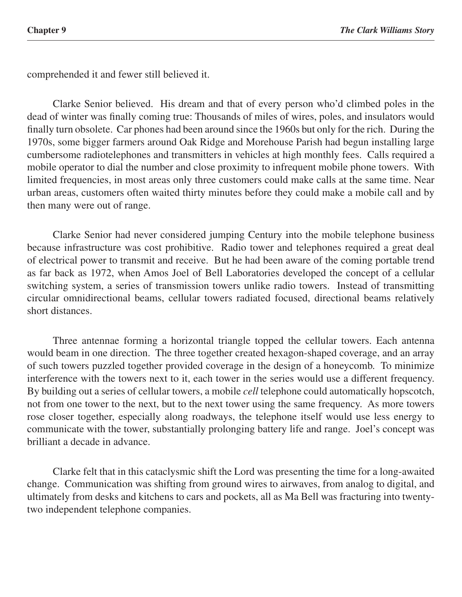comprehended it and fewer still believed it.

Clarke Senior believed. His dream and that of every person who'd climbed poles in the dead of winter was finally coming true: Thousands of miles of wires, poles, and insulators would finally turn obsolete. Car phones had been around since the 1960s but only for the rich. During the 1970s, some bigger farmers around Oak Ridge and Morehouse Parish had begun installing large cumbersome radiotelephones and transmitters in vehicles at high monthly fees. Calls required a mobile operator to dial the number and close proximity to infrequent mobile phone towers. With limited frequencies, in most areas only three customers could make calls at the same time. Near urban areas, customers often waited thirty minutes before they could make a mobile call and by then many were out of range.

Clarke Senior had never considered jumping Century into the mobile telephone business because infrastructure was cost prohibitive. Radio tower and telephones required a great deal of electrical power to transmit and receive. But he had been aware of the coming portable trend as far back as 1972, when Amos Joel of Bell Laboratories developed the concept of a cellular switching system, a series of transmission towers unlike radio towers. Instead of transmitting circular omnidirectional beams, cellular towers radiated focused, directional beams relatively short distances.

Three antennae forming a horizontal triangle topped the cellular towers. Each antenna would beam in one direction. The three together created hexagon-shaped coverage, and an array of such towers puzzled together provided coverage in the design of a honeycomb. To minimize interference with the towers next to it, each tower in the series would use a different frequency. By building out a series of cellular towers, a mobile *cell* telephone could automatically hopscotch, not from one tower to the next, but to the next tower using the same frequency. As more towers rose closer together, especially along roadways, the telephone itself would use less energy to communicate with the tower, substantially prolonging battery life and range. Joel's concept was brilliant a decade in advance.

Clarke felt that in this cataclysmic shift the Lord was presenting the time for a long-awaited change. Communication was shifting from ground wires to airwaves, from analog to digital, and ultimately from desks and kitchens to cars and pockets, all as Ma Bell was fracturing into twentytwo independent telephone companies.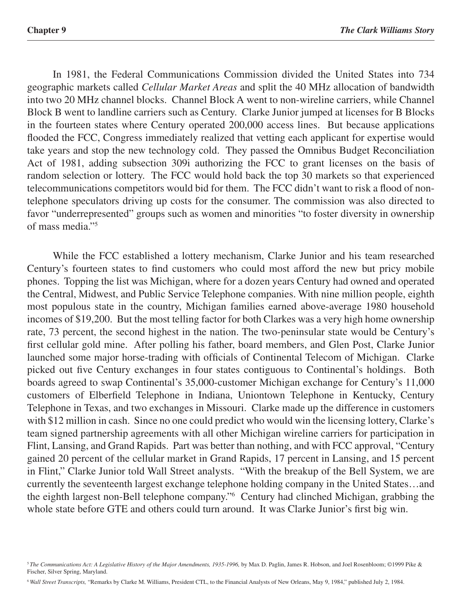In 1981, the Federal Communications Commission divided the United States into 734 geographic markets called *Cellular Market Areas* and split the 40 MHz allocation of bandwidth into two 20 MHz channel blocks. Channel Block A went to non-wireline carriers, while Channel Block B went to landline carriers such as Century. Clarke Junior jumped at licenses for B Blocks in the fourteen states where Century operated 200,000 access lines. But because applications flooded the FCC, Congress immediately realized that vetting each applicant for expertise would take years and stop the new technology cold. They passed the Omnibus Budget Reconciliation Act of 1981, adding subsection 309i authorizing the FCC to grant licenses on the basis of random selection or lottery. The FCC would hold back the top 30 markets so that experienced telecommunications competitors would bid for them. The FCC didn't want to risk a flood of nontelephone speculators driving up costs for the consumer. The commission was also directed to favor "underrepresented" groups such as women and minorities "to foster diversity in ownership of mass media."5

While the FCC established a lottery mechanism, Clarke Junior and his team researched Century's fourteen states to find customers who could most afford the new but pricy mobile phones. Topping the list was Michigan, where for a dozen years Century had owned and operated the Central, Midwest, and Public Service Telephone companies. With nine million people, eighth most populous state in the country, Michigan families earned above-average 1980 household incomes of \$19,200. But the most telling factor for both Clarkes was a very high home ownership rate, 73 percent, the second highest in the nation. The two-peninsular state would be Century's first cellular gold mine. After polling his father, board members, and Glen Post, Clarke Junior launched some major horse-trading with officials of Continental Telecom of Michigan. Clarke picked out five Century exchanges in four states contiguous to Continental's holdings. Both boards agreed to swap Continental's 35,000-customer Michigan exchange for Century's 11,000 customers of Elberfield Telephone in Indiana, Uniontown Telephone in Kentucky, Century Telephone in Texas, and two exchanges in Missouri. Clarke made up the difference in customers with \$12 million in cash. Since no one could predict who would win the licensing lottery, Clarke's team signed partnership agreements with all other Michigan wireline carriers for participation in Flint, Lansing, and Grand Rapids. Part was better than nothing, and with FCC approval, "Century gained 20 percent of the cellular market in Grand Rapids, 17 percent in Lansing, and 15 percent in Flint," Clarke Junior told Wall Street analysts. "With the breakup of the Bell System, we are currently the seventeenth largest exchange telephone holding company in the United States…and the eighth largest non-Bell telephone company."6 Century had clinched Michigan, grabbing the whole state before GTE and others could turn around. It was Clarke Junior's first big win.

<sup>5</sup>*The Communications Act: A Legislative History of the Major Amendments, 1935-1996,* by Max D. Paglin, James R. Hobson, and Joel Rosenbloom; ©1999 Pike & Fischer, Silver Spring, Maryland.